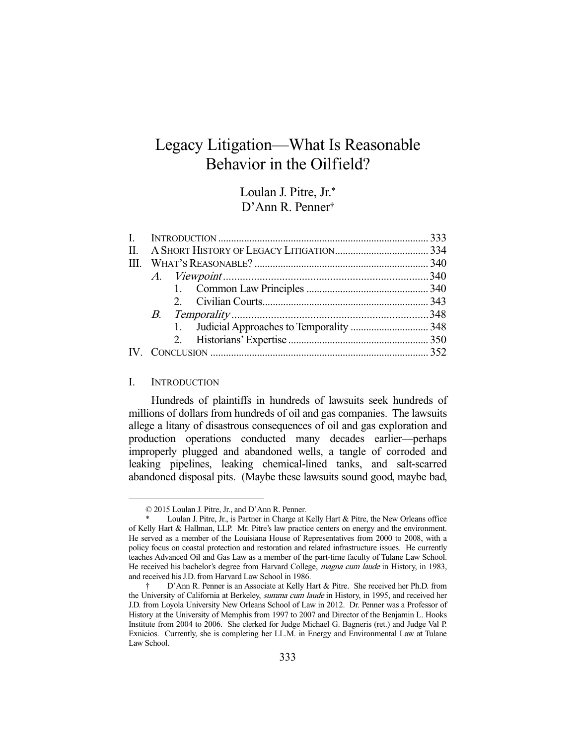# Legacy Litigation—What Is Reasonable Behavior in the Oilfield?

Loulan J. Pitre, Jr.\* D'Ann R. Penner†

| $\mathbf{H}$ |  |  |  |
|--------------|--|--|--|
|              |  |  |  |
|              |  |  |  |
|              |  |  |  |
|              |  |  |  |
|              |  |  |  |
|              |  |  |  |
|              |  |  |  |
|              |  |  |  |

# I. INTRODUCTION

-

 Hundreds of plaintiffs in hundreds of lawsuits seek hundreds of millions of dollars from hundreds of oil and gas companies. The lawsuits allege a litany of disastrous consequences of oil and gas exploration and production operations conducted many decades earlier—perhaps improperly plugged and abandoned wells, a tangle of corroded and leaking pipelines, leaking chemical-lined tanks, and salt-scarred abandoned disposal pits. (Maybe these lawsuits sound good, maybe bad,

 <sup>© 2015</sup> Loulan J. Pitre, Jr., and D'Ann R. Penner.

Loulan J. Pitre, Jr., is Partner in Charge at Kelly Hart & Pitre, the New Orleans office of Kelly Hart & Hallman, LLP. Mr. Pitre's law practice centers on energy and the environment. He served as a member of the Louisiana House of Representatives from 2000 to 2008, with a policy focus on coastal protection and restoration and related infrastructure issues. He currently teaches Advanced Oil and Gas Law as a member of the part-time faculty of Tulane Law School. He received his bachelor's degree from Harvard College, magna cum laude in History, in 1983, and received his J.D. from Harvard Law School in 1986.

 <sup>†</sup> D'Ann R. Penner is an Associate at Kelly Hart & Pitre. She received her Ph.D. from the University of California at Berkeley, summa cum laude in History, in 1995, and received her J.D. from Loyola University New Orleans School of Law in 2012. Dr. Penner was a Professor of History at the University of Memphis from 1997 to 2007 and Director of the Benjamin L. Hooks Institute from 2004 to 2006. She clerked for Judge Michael G. Bagneris (ret.) and Judge Val P. Exnicios. Currently, she is completing her LL.M. in Energy and Environmental Law at Tulane Law School.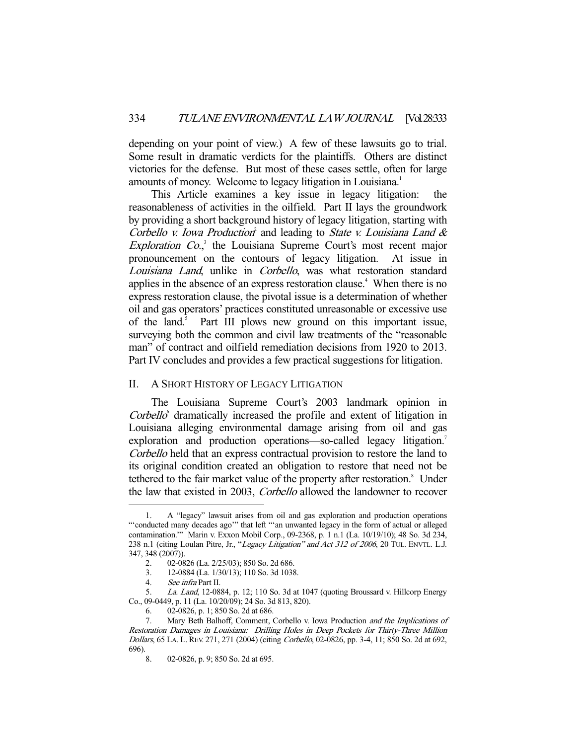depending on your point of view.) A few of these lawsuits go to trial. Some result in dramatic verdicts for the plaintiffs. Others are distinct victories for the defense. But most of these cases settle, often for large amounts of money. Welcome to legacy litigation in Louisiana.<sup>1</sup>

 This Article examines a key issue in legacy litigation: the reasonableness of activities in the oilfield. Part II lays the groundwork by providing a short background history of legacy litigation, starting with Corbello v. Iowa Production<sup>2</sup> and leading to State v. Louisiana Land & *Exploration Co.*,<sup>3</sup> the Louisiana Supreme Court's most recent major pronouncement on the contours of legacy litigation. At issue in Louisiana Land, unlike in Corbello, was what restoration standard applies in the absence of an express restoration clause.<sup>4</sup> When there is no express restoration clause, the pivotal issue is a determination of whether oil and gas operators' practices constituted unreasonable or excessive use of the land.<sup>5</sup> Part III plows new ground on this important issue, surveying both the common and civil law treatments of the "reasonable man" of contract and oilfield remediation decisions from 1920 to 2013. Part IV concludes and provides a few practical suggestions for litigation.

## II. A SHORT HISTORY OF LEGACY LITIGATION

 The Louisiana Supreme Court's 2003 landmark opinion in  $Corbello<sup>6</sup>$  dramatically increased the profile and extent of litigation in Louisiana alleging environmental damage arising from oil and gas exploration and production operations—so-called legacy litigation.<sup>7</sup> Corbello held that an express contractual provision to restore the land to its original condition created an obligation to restore that need not be tethered to the fair market value of the property after restoration.<sup>8</sup> Under the law that existed in 2003, Corbello allowed the landowner to recover

 <sup>1.</sup> A "legacy" lawsuit arises from oil and gas exploration and production operations "'conducted many decades ago'" that left "'an unwanted legacy in the form of actual or alleged contamination.'" Marin v. Exxon Mobil Corp., 09-2368, p. 1 n.1 (La. 10/19/10); 48 So. 3d 234, 238 n.1 (citing Loulan Pitre, Jr., "Legacy Litigation" and Act 312 of 2006, 20 TUL. ENVTL. L.J. 347, 348 (2007)).

 <sup>2. 02-0826 (</sup>La. 2/25/03); 850 So. 2d 686.

 <sup>3. 12-0884 (</sup>La. 1/30/13); 110 So. 3d 1038.

 <sup>4.</sup> See infra Part II.

 <sup>5.</sup> La. Land, 12-0884, p. 12; 110 So. 3d at 1047 (quoting Broussard v. Hillcorp Energy Co., 09-0449, p. 11 (La. 10/20/09); 24 So. 3d 813, 820).

 <sup>6. 02-0826,</sup> p. 1; 850 So. 2d at 686.

 <sup>7.</sup> Mary Beth Balhoff, Comment, Corbello v. Iowa Production and the Implications of Restoration Damages in Louisiana: Drilling Holes in Deep Pockets for Thirty-Three Million Dollars, 65 LA. L. REV. 271, 271 (2004) (citing Corbello, 02-0826, pp. 3-4, 11; 850 So. 2d at 692,  $696$ ).<br>8.

<sup>02-0826,</sup> p. 9; 850 So. 2d at 695.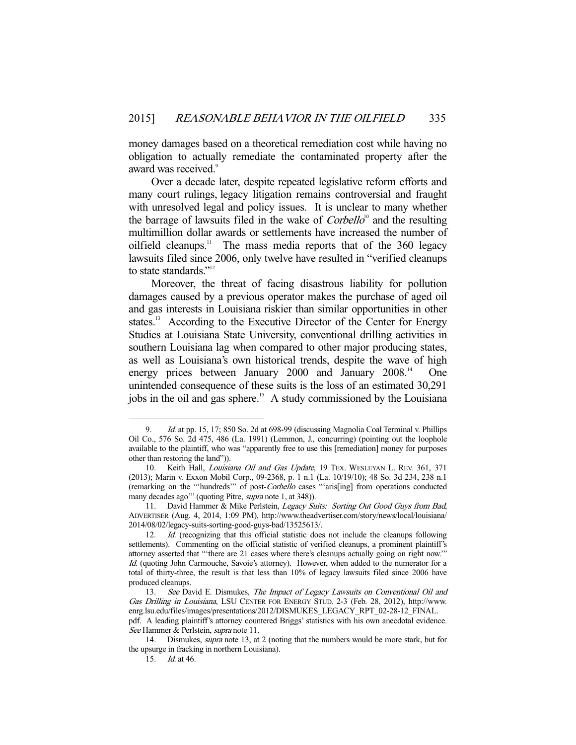money damages based on a theoretical remediation cost while having no obligation to actually remediate the contaminated property after the award was received.<sup>9</sup>

 Over a decade later, despite repeated legislative reform efforts and many court rulings, legacy litigation remains controversial and fraught with unresolved legal and policy issues. It is unclear to many whether the barrage of lawsuits filed in the wake of  $Corbello<sup>10</sup>$  and the resulting multimillion dollar awards or settlements have increased the number of oilfield cleanups.<sup>11</sup> The mass media reports that of the  $360$  legacy lawsuits filed since 2006, only twelve have resulted in "verified cleanups to state standards."<sup>12</sup>

 Moreover, the threat of facing disastrous liability for pollution damages caused by a previous operator makes the purchase of aged oil and gas interests in Louisiana riskier than similar opportunities in other states.<sup>13</sup> According to the Executive Director of the Center for Energy Studies at Louisiana State University, conventional drilling activities in southern Louisiana lag when compared to other major producing states, as well as Louisiana's own historical trends, despite the wave of high energy prices between January 2000 and January 2008.<sup>14</sup> One unintended consequence of these suits is the loss of an estimated 30,291 jobs in the oil and gas sphere.<sup>15</sup> A study commissioned by the Louisiana

<sup>9.</sup> *Id.* at pp. 15, 17; 850 So. 2d at 698-99 (discussing Magnolia Coal Terminal v. Phillips Oil Co., 576 So. 2d 475, 486 (La. 1991) (Lemmon, J., concurring) (pointing out the loophole available to the plaintiff, who was "apparently free to use this [remediation] money for purposes other than restoring the land")).

<sup>10.</sup> Keith Hall, Louisiana Oil and Gas Update, 19 TEX. WESLEYAN L. REV. 361, 371 (2013); Marin v. Exxon Mobil Corp., 09-2368, p. 1 n.1 (La. 10/19/10); 48 So. 3d 234, 238 n.1 (remarking on the "'hundreds'" of post-Corbello cases "'aris[ing] from operations conducted many decades ago" (quoting Pitre, *supra* note 1, at 348)).

<sup>11.</sup> David Hammer & Mike Perlstein, Legacy Suits: Sorting Out Good Guys from Bad, ADVERTISER (Aug. 4, 2014, 1:09 PM), http://www.theadvertiser.com/story/news/local/louisiana/ 2014/08/02/legacy-suits-sorting-good-guys-bad/13525613/.

<sup>12.</sup> *Id.* (recognizing that this official statistic does not include the cleanups following settlements). Commenting on the official statistic of verified cleanups, a prominent plaintiff's attorney asserted that "'there are 21 cases where there's cleanups actually going on right now.'" Id. (quoting John Carmouche, Savoie's attorney). However, when added to the numerator for a total of thirty-three, the result is that less than 10% of legacy lawsuits filed since 2006 have produced cleanups.

<sup>13.</sup> See David E. Dismukes, The Impact of Legacy Lawsuits on Conventional Oil and Gas Drilling in Louisiana, LSU CENTER FOR ENERGY STUD. 2-3 (Feb. 28, 2012), http://www. enrg.lsu.edu/files/images/presentations/2012/DISMUKES\_LEGACY\_RPT\_02-28-12\_FINAL. pdf. A leading plaintiff's attorney countered Briggs' statistics with his own anecdotal evidence.

See Hammer & Perlstein, supra note 11.

 <sup>14.</sup> Dismukes, supra note 13, at 2 (noting that the numbers would be more stark, but for the upsurge in fracking in northern Louisiana).

 <sup>15.</sup> Id. at 46.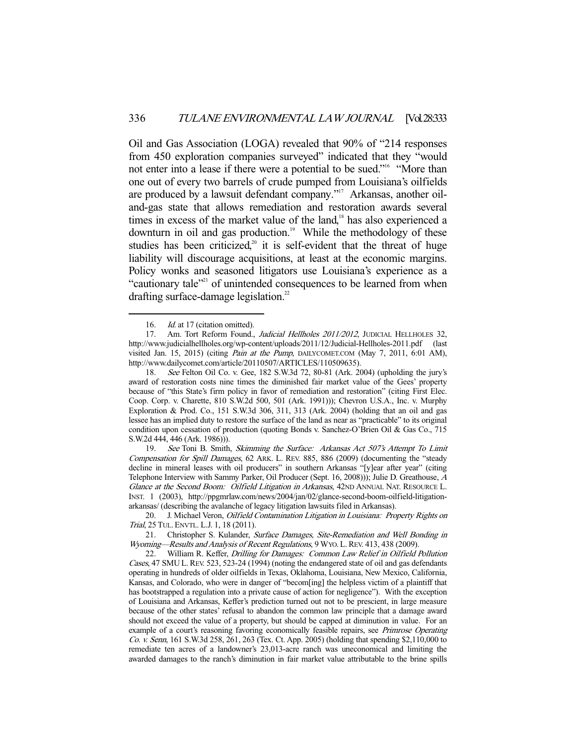Oil and Gas Association (LOGA) revealed that 90% of "214 responses from 450 exploration companies surveyed" indicated that they "would not enter into a lease if there were a potential to be sued."<sup>16</sup> "More than one out of every two barrels of crude pumped from Louisiana's oilfields are produced by a lawsuit defendant company."<sup>17</sup> Arkansas, another oiland-gas state that allows remediation and restoration awards several times in excess of the market value of the land,<sup>18</sup> has also experienced a downturn in oil and gas production.<sup>19</sup> While the methodology of these studies has been criticized,<sup>20</sup> it is self-evident that the threat of huge liability will discourage acquisitions, at least at the economic margins. Policy wonks and seasoned litigators use Louisiana's experience as a "cautionary tale"<sup>21</sup> of unintended consequences to be learned from when drafting surface-damage legislation.<sup>22</sup>

-

 18. See Felton Oil Co. v. Gee, 182 S.W.3d 72, 80-81 (Ark. 2004) (upholding the jury's award of restoration costs nine times the diminished fair market value of the Gees' property because of "this State's firm policy in favor of remediation and restoration" (citing First Elec. Coop. Corp. v. Charette, 810 S.W.2d 500, 501 (Ark. 1991))); Chevron U.S.A., Inc. v. Murphy Exploration & Prod. Co., 151 S.W.3d 306, 311, 313 (Ark. 2004) (holding that an oil and gas lessee has an implied duty to restore the surface of the land as near as "practicable" to its original condition upon cessation of production (quoting Bonds v. Sanchez-O'Brien Oil & Gas Co., 715 S.W.2d 444, 446 (Ark. 1986))).

19. See Toni B. Smith, Skimming the Surface: Arkansas Act 507's Attempt To Limit Compensation for Spill Damages, 62 ARK. L. REV. 885, 886 (2009) (documenting the "steady decline in mineral leases with oil producers" in southern Arkansas "[y]ear after year" (citing Telephone Interview with Sammy Parker, Oil Producer (Sept. 16, 2008))); Julie D. Greathouse, <sup>A</sup> Glance at the Second Boom: Oilfield Litigation in Arkansas, 42ND ANNUAL NAT. RESOURCE L. INST. 1 (2003), http://ppgmrlaw.com/news/2004/jan/02/glance-second-boom-oilfield-litigationarkansas/ (describing the avalanche of legacy litigation lawsuits filed in Arkansas).

20. J. Michael Veron, Oilfield Contamination Litigation in Louisiana: Property Rights on Trial, 25 TUL. ENVTL. L.J. 1, 18 (2011).

21. Christopher S. Kulander, Surface Damages, Site-Remediation and Well Bonding in Wyoming—Results and Analysis of Recent Regulations, 9 WYO. L. REV. 413, 438 (2009).

 22. William R. Keffer, Drilling for Damages: Common Law Relief in Oilfield Pollution Cases, 47 SMU L. REV. 523, 523-24 (1994) (noting the endangered state of oil and gas defendants operating in hundreds of older oilfields in Texas, Oklahoma, Louisiana, New Mexico, California, Kansas, and Colorado, who were in danger of "becom[ing] the helpless victim of a plaintiff that has bootstrapped a regulation into a private cause of action for negligence"). With the exception of Louisiana and Arkansas, Keffer's prediction turned out not to be prescient, in large measure because of the other states' refusal to abandon the common law principle that a damage award should not exceed the value of a property, but should be capped at diminution in value. For an example of a court's reasoning favoring economically feasible repairs, see *Primrose Operating* Co. v. Senn, 161 S.W.3d 258, 261, 263 (Tex. Ct. App. 2005) (holding that spending \$2,110,000 to remediate ten acres of a landowner's 23,013-acre ranch was uneconomical and limiting the awarded damages to the ranch's diminution in fair market value attributable to the brine spills

<sup>16.</sup> *Id.* at 17 (citation omitted).

<sup>17.</sup> Am. Tort Reform Found., Judicial Hellholes 2011/2012, JUDICIAL HELLHOLES 32, http://www.judicialhellholes.org/wp-content/uploads/2011/12/Judicial-Hellholes-2011.pdf (last visited Jan. 15, 2015) (citing Pain at the Pump, DAILYCOMET.COM (May 7, 2011, 6:01 AM), http://www.dailycomet.com/article/20110507/ARTICLES/110509635).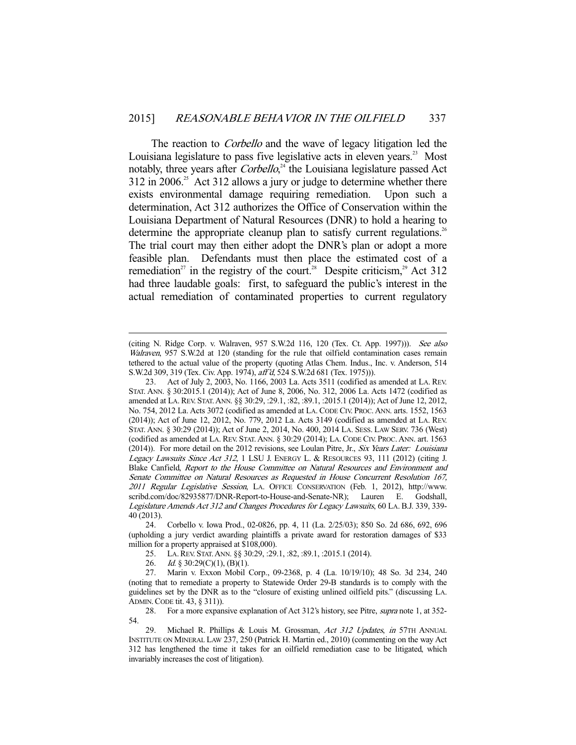The reaction to *Corbello* and the wave of legacy litigation led the Louisiana legislature to pass five legislative acts in eleven years.<sup>23</sup> Most notably, three years after *Corbello*,<sup>24</sup> the Louisiana legislature passed Act  $312$  in 2006.<sup>25</sup> Act 312 allows a jury or judge to determine whether there exists environmental damage requiring remediation. Upon such a determination, Act 312 authorizes the Office of Conservation within the Louisiana Department of Natural Resources (DNR) to hold a hearing to determine the appropriate cleanup plan to satisfy current regulations.<sup>26</sup> The trial court may then either adopt the DNR's plan or adopt a more feasible plan. Defendants must then place the estimated cost of a remediation<sup>27</sup> in the registry of the court.<sup>28</sup> Despite criticism,<sup>29</sup> Act 312 had three laudable goals: first, to safeguard the public's interest in the actual remediation of contaminated properties to current regulatory

<sup>(</sup>citing N. Ridge Corp. v. Walraven, 957 S.W.2d 116, 120 (Tex. Ct. App. 1997))). See also Walraven, 957 S.W.2d at 120 (standing for the rule that oilfield contamination cases remain tethered to the actual value of the property (quoting Atlas Chem. Indus., Inc. v. Anderson, 514 S.W.2d 309, 319 (Tex. Civ. App. 1974), aff'd, 524 S.W.2d 681 (Tex. 1975))).

 <sup>23.</sup> Act of July 2, 2003, No. 1166, 2003 La. Acts 3511 (codified as amended at LA. REV. STAT. ANN. § 30:2015.1 (2014)); Act of June 8, 2006, No. 312, 2006 La. Acts 1472 (codified as amended at LA.REV. STAT.ANN. §§ 30:29, :29.1, :82, :89.1, :2015.1 (2014)); Act of June 12, 2012, No. 754, 2012 La. Acts 3072 (codified as amended at LA. CODE CIV. PROC.ANN. arts. 1552, 1563 (2014)); Act of June 12, 2012, No. 779, 2012 La. Acts 3149 (codified as amended at LA. REV. STAT. ANN. § 30:29 (2014)); Act of June 2, 2014, No. 400, 2014 LA. SESS. LAW SERV. 736 (West) (codified as amended at LA. REV. STAT.ANN. § 30:29 (2014); LA. CODE CIV. PROC.ANN. art. 1563 (2014)). For more detail on the 2012 revisions, see Loulan Pitre, Jr., Six Years Later: Louisiana Legacy Lawsuits Since Act 312, 1 LSU J. ENERGY L. & RESOURCES 93, 111 (2012) (citing J. Blake Canfield, Report to the House Committee on Natural Resources and Environment and Senate Committee on Natural Resources as Requested in House Concurrent Resolution 167, 2011 Regular Legislative Session, LA. OFFICE CONSERVATION (Feb. 1, 2012), http://www. scribd.com/doc/82935877/DNR-Report-to-House-and-Senate-NR); Lauren E. Godshall, Legislature Amends Act 312 and Changes Procedures for Legacy Lawsuits, 60 LA. B.J. 339, 339- 40 (2013).

 <sup>24.</sup> Corbello v. Iowa Prod., 02-0826, pp. 4, 11 (La. 2/25/03); 850 So. 2d 686, 692, 696 (upholding a jury verdict awarding plaintiffs a private award for restoration damages of \$33 million for a property appraised at \$108,000).

 <sup>25.</sup> LA.REV. STAT.ANN. §§ 30:29, :29.1, :82, :89.1, :2015.1 (2014).

<sup>26.</sup> Id. § 30:29(C)(1), (B)(1).

 <sup>27.</sup> Marin v. Exxon Mobil Corp., 09-2368, p. 4 (La. 10/19/10); 48 So. 3d 234, 240 (noting that to remediate a property to Statewide Order 29-B standards is to comply with the guidelines set by the DNR as to the "closure of existing unlined oilfield pits." (discussing LA. ADMIN.CODE tit. 43, § 311)).

<sup>28.</sup> For a more expansive explanation of Act 312's history, see Pitre, *supra* note 1, at 352-54.

<sup>29.</sup> Michael R. Phillips & Louis M. Grossman, Act 312 Updates, in 57TH ANNUAL INSTITUTE ON MINERAL LAW 237, 250 (Patrick H. Martin ed., 2010) (commenting on the way Act 312 has lengthened the time it takes for an oilfield remediation case to be litigated, which invariably increases the cost of litigation).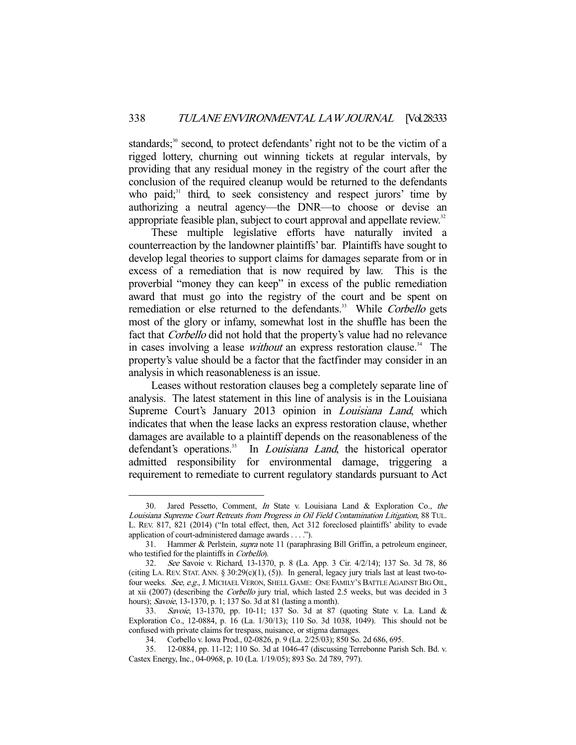standards;<sup>30</sup> second, to protect defendants' right not to be the victim of a rigged lottery, churning out winning tickets at regular intervals, by providing that any residual money in the registry of the court after the conclusion of the required cleanup would be returned to the defendants who paid; $31$  third, to seek consistency and respect jurors' time by authorizing a neutral agency—the DNR—to choose or devise an appropriate feasible plan, subject to court approval and appellate review.<sup>32</sup>

 These multiple legislative efforts have naturally invited a counterreaction by the landowner plaintiffs' bar. Plaintiffs have sought to develop legal theories to support claims for damages separate from or in excess of a remediation that is now required by law. This is the proverbial "money they can keep" in excess of the public remediation award that must go into the registry of the court and be spent on remediation or else returned to the defendants.<sup>33</sup> While Corbello gets most of the glory or infamy, somewhat lost in the shuffle has been the fact that Corbello did not hold that the property's value had no relevance in cases involving a lease *without* an express restoration clause.<sup>34</sup> The property's value should be a factor that the factfinder may consider in an analysis in which reasonableness is an issue.

 Leases without restoration clauses beg a completely separate line of analysis. The latest statement in this line of analysis is in the Louisiana Supreme Court's January 2013 opinion in *Louisiana Land*, which indicates that when the lease lacks an express restoration clause, whether damages are available to a plaintiff depends on the reasonableness of the defendant's operations.<sup>35</sup> In *Louisiana Land*, the historical operator admitted responsibility for environmental damage, triggering a requirement to remediate to current regulatory standards pursuant to Act

 <sup>30.</sup> Jared Pessetto, Comment, In State v. Louisiana Land & Exploration Co., the Louisiana Supreme Court Retreats from Progress in Oil Field Contamination Litigation, 88 TUL. L. REV. 817, 821 (2014) ("In total effect, then, Act 312 foreclosed plaintiffs' ability to evade application of court-administered damage awards . . . .").

 <sup>31.</sup> Hammer & Perlstein, supra note 11 (paraphrasing Bill Griffin, a petroleum engineer, who testified for the plaintiffs in Corbello).

 <sup>32.</sup> See Savoie v. Richard, 13-1370, p. 8 (La. App. 3 Cir. 4/2/14); 137 So. 3d 78, 86 (citing LA. REV. STAT. ANN. §  $30:29(c)(1)$ , (5)). In general, legacy jury trials last at least two-tofour weeks. See, e.g., J. MICHAEL VERON, SHELL GAME: ONE FAMILY'S BATTLE AGAINST BIG OIL, at xii (2007) (describing the Corbello jury trial, which lasted 2.5 weeks, but was decided in 3 hours); Savoie, 13-1370, p. 1; 137 So. 3d at 81 (lasting a month).

<sup>33.</sup> Savoie, 13-1370, pp. 10-11; 137 So. 3d at 87 (quoting State v. La. Land & Exploration Co., 12-0884, p. 16 (La. 1/30/13); 110 So. 3d 1038, 1049). This should not be confused with private claims for trespass, nuisance, or stigma damages.

 <sup>34.</sup> Corbello v. Iowa Prod., 02-0826, p. 9 (La. 2/25/03); 850 So. 2d 686, 695.

 <sup>35. 12-0884,</sup> pp. 11-12; 110 So. 3d at 1046-47 (discussing Terrebonne Parish Sch. Bd. v. Castex Energy, Inc., 04-0968, p. 10 (La. 1/19/05); 893 So. 2d 789, 797).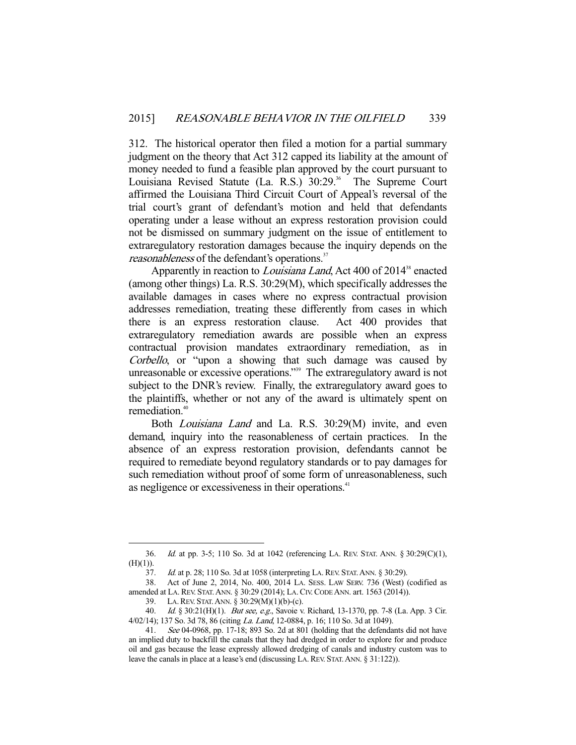312. The historical operator then filed a motion for a partial summary judgment on the theory that Act 312 capped its liability at the amount of money needed to fund a feasible plan approved by the court pursuant to Louisiana Revised Statute (La. R.S.) 30:29.<sup>36</sup> The Supreme Court affirmed the Louisiana Third Circuit Court of Appeal's reversal of the trial court's grant of defendant's motion and held that defendants operating under a lease without an express restoration provision could not be dismissed on summary judgment on the issue of entitlement to extraregulatory restoration damages because the inquiry depends on the reasonableness of the defendant's operations.<sup>37</sup>

Apparently in reaction to *Louisiana Land*, Act 400 of 2014<sup>38</sup> enacted (among other things) La. R.S. 30:29(M), which specifically addresses the available damages in cases where no express contractual provision addresses remediation, treating these differently from cases in which there is an express restoration clause. Act 400 provides that extraregulatory remediation awards are possible when an express contractual provision mandates extraordinary remediation, as in Corbello, or "upon a showing that such damage was caused by unreasonable or excessive operations."<sup>39</sup> The extraregulatory award is not subject to the DNR's review. Finally, the extraregulatory award goes to the plaintiffs, whether or not any of the award is ultimately spent on remediation.<sup>40</sup>

Both *Louisiana Land* and La. R.S. 30:29(M) invite, and even demand, inquiry into the reasonableness of certain practices. In the absence of an express restoration provision, defendants cannot be required to remediate beyond regulatory standards or to pay damages for such remediation without proof of some form of unreasonableness, such as negligence or excessiveness in their operations.<sup>41</sup>

 <sup>36.</sup> Id. at pp. 3-5; 110 So. 3d at 1042 (referencing LA. REV. STAT. ANN. § 30:29(C)(1),  $(H)(1)).$ 

 <sup>37.</sup> Id. at p. 28; 110 So. 3d at 1058 (interpreting LA.REV. STAT.ANN. § 30:29).

 <sup>38.</sup> Act of June 2, 2014, No. 400, 2014 LA. SESS. LAW SERV. 736 (West) (codified as amended at LA.REV. STAT.ANN. § 30:29 (2014); LA.CIV.CODE ANN. art. 1563 (2014)).

 <sup>39.</sup> LA.REV. STAT.ANN. § 30:29(M)(1)(b)-(c).

<sup>40.</sup> *Id.* § 30:21(H)(1). *But see, e.g.*, Savoie v. Richard, 13-1370, pp. 7-8 (La. App. 3 Cir. 4/02/14); 137 So. 3d 78, 86 (citing La. Land, 12-0884, p. 16; 110 So. 3d at 1049).

 <sup>41.</sup> See 04-0968, pp. 17-18; 893 So. 2d at 801 (holding that the defendants did not have an implied duty to backfill the canals that they had dredged in order to explore for and produce oil and gas because the lease expressly allowed dredging of canals and industry custom was to leave the canals in place at a lease's end (discussing LA. REV. STAT. ANN. § 31:122)).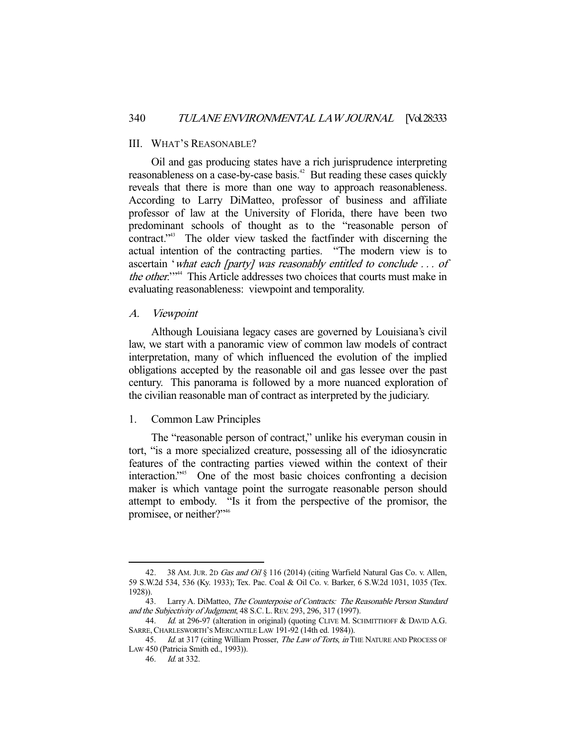#### III. WHAT'S REASONABLE?

 Oil and gas producing states have a rich jurisprudence interpreting reasonableness on a case-by-case basis.<sup>42</sup> But reading these cases quickly reveals that there is more than one way to approach reasonableness. According to Larry DiMatteo, professor of business and affiliate professor of law at the University of Florida, there have been two predominant schools of thought as to the "reasonable person of contract."43 The older view tasked the factfinder with discerning the actual intention of the contracting parties. "The modern view is to ascertain 'what each [party] was reasonably entitled to conclude . . . of the other."<sup>44</sup> This Article addresses two choices that courts must make in evaluating reasonableness: viewpoint and temporality.

#### A. Viewpoint

 Although Louisiana legacy cases are governed by Louisiana's civil law, we start with a panoramic view of common law models of contract interpretation, many of which influenced the evolution of the implied obligations accepted by the reasonable oil and gas lessee over the past century. This panorama is followed by a more nuanced exploration of the civilian reasonable man of contract as interpreted by the judiciary.

# 1. Common Law Principles

 The "reasonable person of contract," unlike his everyman cousin in tort, "is a more specialized creature, possessing all of the idiosyncratic features of the contracting parties viewed within the context of their interaction."45 One of the most basic choices confronting a decision maker is which vantage point the surrogate reasonable person should attempt to embody. "Is it from the perspective of the promisor, the promisee, or neither?"46

<sup>42. 38</sup> AM. JUR. 2D Gas and Oil § 116 (2014) (citing Warfield Natural Gas Co. v. Allen, 59 S.W.2d 534, 536 (Ky. 1933); Tex. Pac. Coal & Oil Co. v. Barker, 6 S.W.2d 1031, 1035 (Tex. 1928)).

<sup>43.</sup> Larry A. DiMatteo, The Counterpoise of Contracts: The Reasonable Person Standard and the Subjectivity of Judgment, 48 S.C. L.REV. 293, 296, 317 (1997).

<sup>44.</sup> *Id.* at 296-97 (alteration in original) (quoting CLIVE M. SCHMITTHOFF & DAVID A.G. SARRE, CHARLESWORTH'S MERCANTILE LAW 191-92 (14th ed. 1984)).

<sup>45.</sup> Id. at 317 (citing William Prosser, The Law of Torts, in THE NATURE AND PROCESS OF LAW 450 (Patricia Smith ed., 1993)).

 <sup>46.</sup> Id. at 332.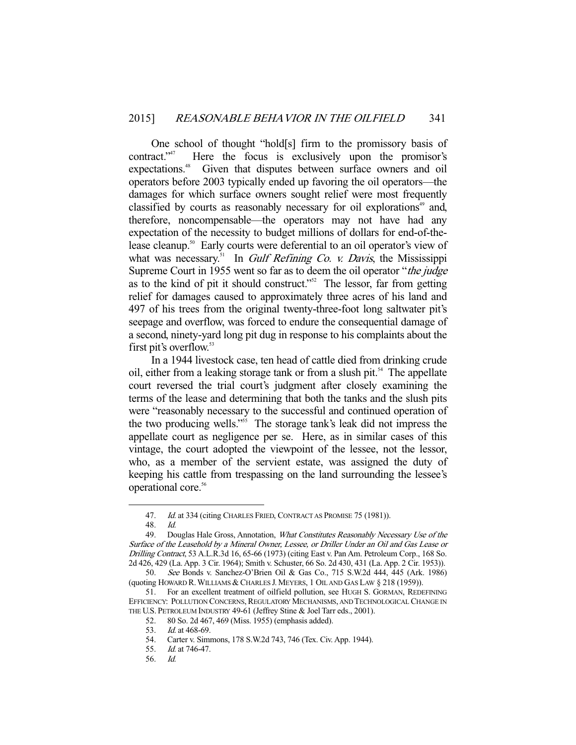One school of thought "hold[s] firm to the promissory basis of contract."47 Here the focus is exclusively upon the promisor's expectations.<sup>48</sup> Given that disputes between surface owners and oil operators before 2003 typically ended up favoring the oil operators—the damages for which surface owners sought relief were most frequently classified by courts as reasonably necessary for oil explorations<sup>49</sup> and, therefore, noncompensable—the operators may not have had any expectation of the necessity to budget millions of dollars for end-of-thelease cleanup.<sup>50</sup> Early courts were deferential to an oil operator's view of what was necessary.<sup>51</sup> In *Gulf Refining Co. v. Davis*, the Mississippi Supreme Court in 1955 went so far as to deem the oil operator "the judge as to the kind of pit it should construct."52 The lessor, far from getting relief for damages caused to approximately three acres of his land and 497 of his trees from the original twenty-three-foot long saltwater pit's seepage and overflow, was forced to endure the consequential damage of a second, ninety-yard long pit dug in response to his complaints about the first pit's overflow.<sup>53</sup>

 In a 1944 livestock case, ten head of cattle died from drinking crude oil, either from a leaking storage tank or from a slush pit.<sup>54</sup> The appellate court reversed the trial court's judgment after closely examining the terms of the lease and determining that both the tanks and the slush pits were "reasonably necessary to the successful and continued operation of the two producing wells."<sup>55</sup> The storage tank's leak did not impress the appellate court as negligence per se. Here, as in similar cases of this vintage, the court adopted the viewpoint of the lessee, not the lessor, who, as a member of the servient estate, was assigned the duty of keeping his cattle from trespassing on the land surrounding the lessee's operational core.<sup>56</sup>

<sup>47.</sup> Id. at 334 (citing CHARLES FRIED, CONTRACT AS PROMISE 75 (1981)).

 <sup>48.</sup> Id.

<sup>49.</sup> Douglas Hale Gross, Annotation, *What Constitutes Reasonably Necessary Use of the* Surface of the Leasehold by a Mineral Owner, Lessee, or Driller Under an Oil and Gas Lease or Drilling Contract, 53 A.L.R.3d 16, 65-66 (1973) (citing East v. Pan Am. Petroleum Corp., 168 So. 2d 426, 429 (La. App. 3 Cir. 1964); Smith v. Schuster, 66 So. 2d 430, 431 (La. App. 2 Cir. 1953)).

 <sup>50.</sup> See Bonds v. Sanchez-O'Brien Oil & Gas Co., 715 S.W.2d 444, 445 (Ark. 1986) (quoting HOWARD R.WILLIAMS & CHARLES J. MEYERS, 1 OIL AND GAS LAW § 218 (1959)).

 <sup>51.</sup> For an excellent treatment of oilfield pollution, see HUGH S. GORMAN, REDEFINING EFFICIENCY: POLLUTION CONCERNS, REGULATORY MECHANISMS, AND TECHNOLOGICAL CHANGE IN THE U.S. PETROLEUM INDUSTRY 49-61 (Jeffrey Stine & Joel Tarr eds., 2001).

 <sup>52. 80</sup> So. 2d 467, 469 (Miss. 1955) (emphasis added).

 <sup>53.</sup> Id. at 468-69.

 <sup>54.</sup> Carter v. Simmons, 178 S.W.2d 743, 746 (Tex. Civ. App. 1944).

 <sup>55.</sup> Id. at 746-47.

 <sup>56.</sup> Id.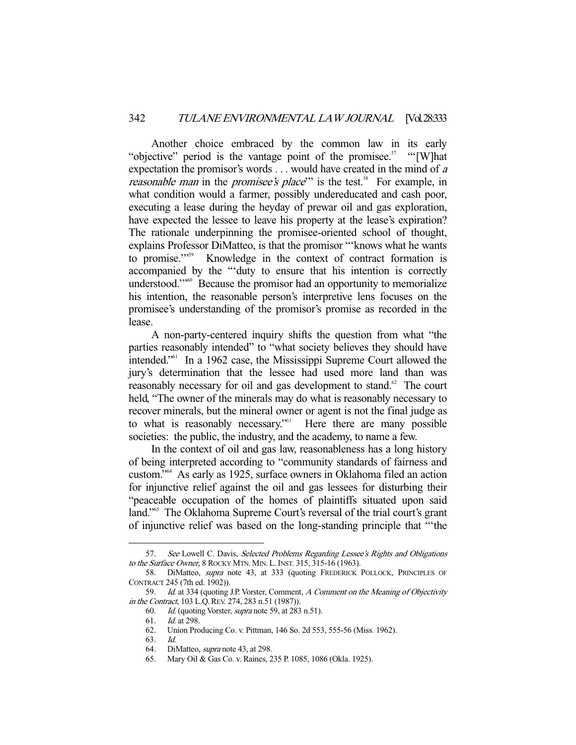Another choice embraced by the common law in its early "objective" period is the vantage point of the promisee.<sup>57</sup> " $[$ W]hat expectation the promisor's words . . . would have created in the mind of a *reasonable man* in the *promisee's place*" is the test.<sup>58</sup> For example, in what condition would a farmer, possibly undereducated and cash poor, executing a lease during the heyday of prewar oil and gas exploration, have expected the lessee to leave his property at the lease's expiration? The rationale underpinning the promisee-oriented school of thought, explains Professor DiMatteo, is that the promisor "'knows what he wants to promise."<sup>559</sup> Knowledge in the context of contract formation is accompanied by the "'duty to ensure that his intention is correctly understood."<sup>60</sup> Because the promisor had an opportunity to memorialize his intention, the reasonable person's interpretive lens focuses on the promisee's understanding of the promisor's promise as recorded in the lease.

 A non-party-centered inquiry shifts the question from what "the parties reasonably intended" to "what society believes they should have intended."61 In a 1962 case, the Mississippi Supreme Court allowed the jury's determination that the lessee had used more land than was reasonably necessary for oil and gas development to stand.<sup>62</sup> The court held, "The owner of the minerals may do what is reasonably necessary to recover minerals, but the mineral owner or agent is not the final judge as to what is reasonably necessary."<sup>53</sup> Here there are many possible societies: the public, the industry, and the academy, to name a few.

 In the context of oil and gas law, reasonableness has a long history of being interpreted according to "community standards of fairness and custom."64 As early as 1925, surface owners in Oklahoma filed an action for injunctive relief against the oil and gas lessees for disturbing their "peaceable occupation of the homes of plaintiffs situated upon said land."<sup>65</sup> The Oklahoma Supreme Court's reversal of the trial court's grant of injunctive relief was based on the long-standing principle that "'the

<sup>57.</sup> See Lowell C. Davis, Selected Problems Regarding Lessee's Rights and Obligations to the Surface Owner, 8 ROCKY MTN. MIN. L.INST. 315, 315-16 (1963).

<sup>58.</sup> DiMatteo, *supra* note 43, at 333 (quoting FREDERICK POLLOCK, PRINCIPLES OF CONTRACT 245 (7th ed. 1902)).

<sup>59.</sup> Id. at 334 (quoting J.P. Vorster, Comment, A Comment on the Meaning of Objectivity in the Contract, 103 L.Q.REV. 274, 283 n.51 (1987)).

 <sup>60.</sup> Id. (quoting Vorster, supra note 59, at 283 n.51).

 <sup>61.</sup> Id. at 298.

 <sup>62.</sup> Union Producing Co. v. Pittman, 146 So. 2d 553, 555-56 (Miss. 1962).

 <sup>63.</sup> Id.

<sup>64.</sup> DiMatteo, *supra* note 43, at 298.

 <sup>65.</sup> Mary Oil & Gas Co. v. Raines, 235 P. 1085, 1086 (Okla. 1925).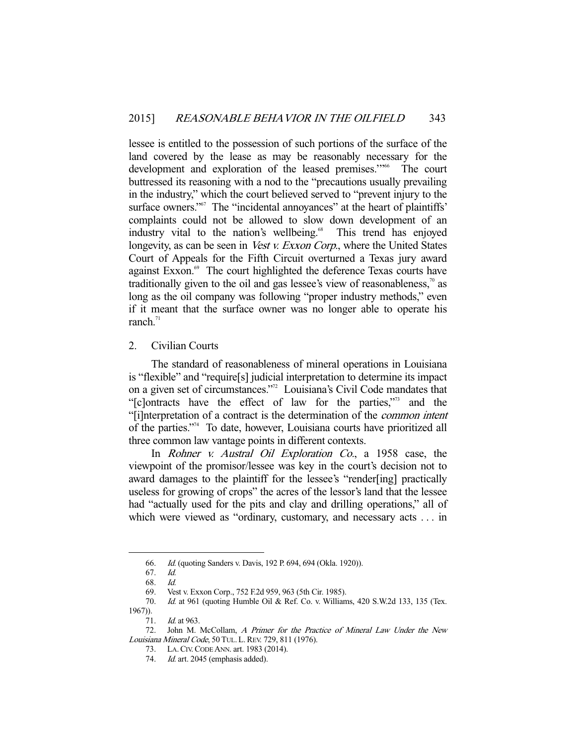lessee is entitled to the possession of such portions of the surface of the land covered by the lease as may be reasonably necessary for the development and exploration of the leased premises."<sup>66</sup> The court buttressed its reasoning with a nod to the "precautions usually prevailing in the industry," which the court believed served to "prevent injury to the surface owners."<sup>67</sup> The "incidental annoyances" at the heart of plaintiffs' complaints could not be allowed to slow down development of an industry vital to the nation's wellbeing.<sup>68</sup> This trend has enjoyed longevity, as can be seen in *Vest v. Exxon Corp.*, where the United States Court of Appeals for the Fifth Circuit overturned a Texas jury award against Exxon.<sup>69</sup> The court highlighted the deference Texas courts have traditionally given to the oil and gas lessee's view of reasonableness, $\frac{1}{10}$  as long as the oil company was following "proper industry methods," even if it meant that the surface owner was no longer able to operate his ranch. $71$ 

## 2. Civilian Courts

 The standard of reasonableness of mineral operations in Louisiana is "flexible" and "require[s] judicial interpretation to determine its impact on a given set of circumstances."72 Louisiana's Civil Code mandates that "[c]ontracts have the effect of law for the parties,"73 and the "[i]nterpretation of a contract is the determination of the common intent of the parties."74 To date, however, Louisiana courts have prioritized all three common law vantage points in different contexts.

In *Rohner v. Austral Oil Exploration Co.*, a 1958 case, the viewpoint of the promisor/lessee was key in the court's decision not to award damages to the plaintiff for the lessee's "render[ing] practically useless for growing of crops" the acres of the lessor's land that the lessee had "actually used for the pits and clay and drilling operations," all of which were viewed as "ordinary, customary, and necessary acts . . . in

 <sup>66.</sup> Id. (quoting Sanders v. Davis, 192 P. 694, 694 (Okla. 1920)).

 <sup>67.</sup> Id. 68. Id.

 <sup>69.</sup> Vest v. Exxon Corp., 752 F.2d 959, 963 (5th Cir. 1985).

 <sup>70.</sup> Id. at 961 (quoting Humble Oil & Ref. Co. v. Williams, 420 S.W.2d 133, 135 (Tex. 1967)).

<sup>71.</sup> *Id.* at 963.<br>72. John M. John M. McCollam, A Primer for the Practice of Mineral Law Under the New Louisiana Mineral Code, 50 TUL. L.REV. 729, 811 (1976).

 <sup>73.</sup> LA.CIV.CODE ANN. art. 1983 (2014).

<sup>74.</sup> Id. art. 2045 (emphasis added).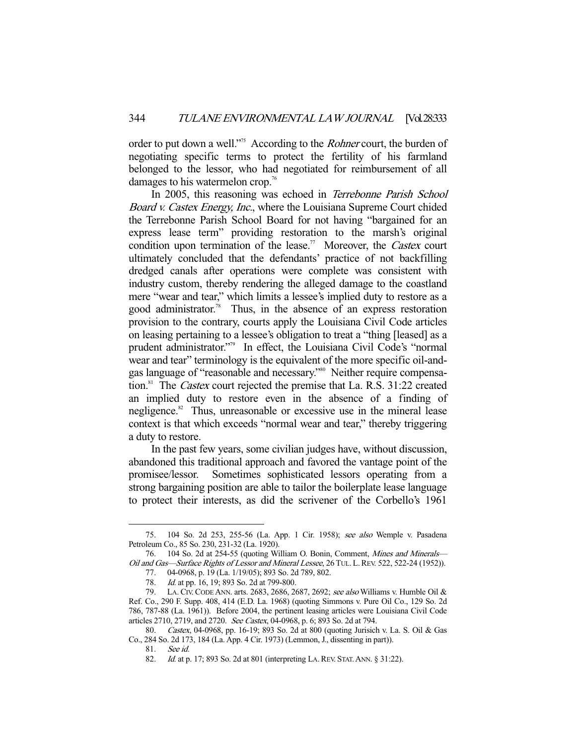order to put down a well."<sup>75</sup> According to the *Rohner* court, the burden of negotiating specific terms to protect the fertility of his farmland belonged to the lessor, who had negotiated for reimbursement of all damages to his watermelon crop.<sup>76</sup>

In 2005, this reasoning was echoed in Terrebonne Parish School Board v. Castex Energy, Inc., where the Louisiana Supreme Court chided the Terrebonne Parish School Board for not having "bargained for an express lease term" providing restoration to the marsh's original condition upon termination of the lease.<sup>77</sup> Moreover, the *Castex* court ultimately concluded that the defendants' practice of not backfilling dredged canals after operations were complete was consistent with industry custom, thereby rendering the alleged damage to the coastland mere "wear and tear," which limits a lessee's implied duty to restore as a good administrator.<sup>78</sup> Thus, in the absence of an express restoration provision to the contrary, courts apply the Louisiana Civil Code articles on leasing pertaining to a lessee's obligation to treat a "thing [leased] as a prudent administrator."79 In effect, the Louisiana Civil Code's "normal wear and tear" terminology is the equivalent of the more specific oil-andgas language of "reasonable and necessary."80 Neither require compensation.<sup>81</sup> The *Castex* court rejected the premise that La. R.S. 31:22 created an implied duty to restore even in the absence of a finding of negligence.<sup>82</sup> Thus, unreasonable or excessive use in the mineral lease context is that which exceeds "normal wear and tear," thereby triggering a duty to restore.

 In the past few years, some civilian judges have, without discussion, abandoned this traditional approach and favored the vantage point of the promisee/lessor. Sometimes sophisticated lessors operating from a strong bargaining position are able to tailor the boilerplate lease language to protect their interests, as did the scrivener of the Corbello's 1961

 <sup>75. 104</sup> So. 2d 253, 255-56 (La. App. 1 Cir. 1958); see also Wemple v. Pasadena Petroleum Co., 85 So. 230, 231-32 (La. 1920).

 <sup>76. 104</sup> So. 2d at 254-55 (quoting William O. Bonin, Comment, Mines and Minerals— Oil and Gas—Surface Rights of Lessor and Mineral Lessee, 26 TUL. L.REV. 522, 522-24 (1952)).

 <sup>77. 04-0968,</sup> p. 19 (La. 1/19/05); 893 So. 2d 789, 802.

 <sup>78.</sup> Id. at pp. 16, 19; 893 So. 2d at 799-800.

 <sup>79.</sup> LA. CIV. CODE ANN. arts. 2683, 2686, 2687, 2692; see also Williams v. Humble Oil & Ref. Co., 290 F. Supp. 408, 414 (E.D. La. 1968) (quoting Simmons v. Pure Oil Co., 129 So. 2d 786, 787-88 (La. 1961)). Before 2004, the pertinent leasing articles were Louisiana Civil Code articles 2710, 2719, and 2720. See Castex, 04-0968, p. 6; 893 So. 2d at 794.

 <sup>80.</sup> Castex, 04-0968, pp. 16-19; 893 So. 2d at 800 (quoting Jurisich v. La. S. Oil & Gas Co., 284 So. 2d 173, 184 (La. App. 4 Cir. 1973) (Lemmon, J., dissenting in part)).

 <sup>81.</sup> See id.

<sup>82.</sup> *Id.* at p. 17; 893 So. 2d at 801 (interpreting LA. REV. STAT. ANN. § 31:22).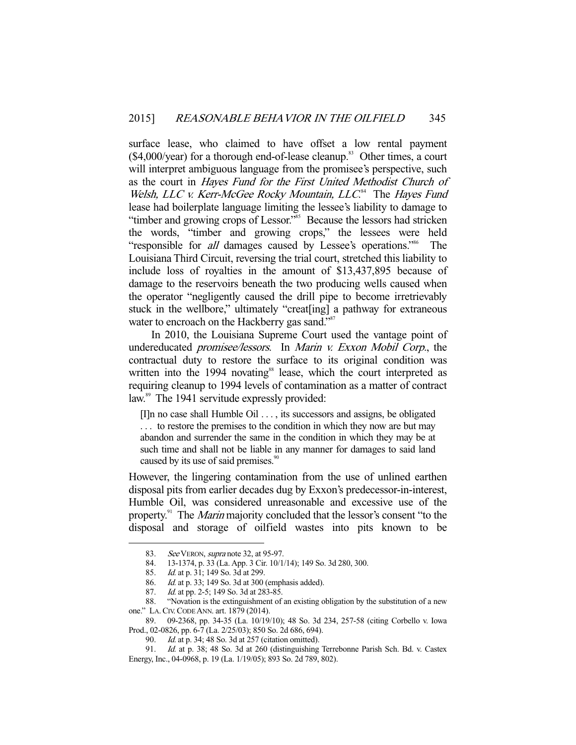surface lease, who claimed to have offset a low rental payment  $($4,000/year)$  for a thorough end-of-lease cleanup.<sup>83</sup> Other times, a court will interpret ambiguous language from the promisee's perspective, such as the court in Hayes Fund for the First United Methodist Church of Welsh, LLC v. Kerr-McGee Rocky Mountain, LLC.<sup>84</sup> The Hayes Fund lease had boilerplate language limiting the lessee's liability to damage to "timber and growing crops of Lessor."<sup>85</sup> Because the lessors had stricken the words, "timber and growing crops," the lessees were held "responsible for *all* damages caused by Lessee's operations."<sup>86</sup> The Louisiana Third Circuit, reversing the trial court, stretched this liability to include loss of royalties in the amount of \$13,437,895 because of damage to the reservoirs beneath the two producing wells caused when the operator "negligently caused the drill pipe to become irretrievably stuck in the wellbore," ultimately "creat[ing] a pathway for extraneous water to encroach on the Hackberry gas sand."<sup>87</sup>

 In 2010, the Louisiana Supreme Court used the vantage point of undereducated promisee/lessors. In Marin v. Exxon Mobil Corp., the contractual duty to restore the surface to its original condition was written into the 1994 novating<sup>88</sup> lease, which the court interpreted as requiring cleanup to 1994 levels of contamination as a matter of contract law.<sup>89</sup> The 1941 servitude expressly provided:

[I]n no case shall Humble Oil . . . , its successors and assigns, be obligated . . . to restore the premises to the condition in which they now are but may abandon and surrender the same in the condition in which they may be at such time and shall not be liable in any manner for damages to said land caused by its use of said premises.<sup>90</sup>

However, the lingering contamination from the use of unlined earthen disposal pits from earlier decades dug by Exxon's predecessor-in-interest, Humble Oil, was considered unreasonable and excessive use of the property.<sup>91</sup> The *Marin* majority concluded that the lessor's consent "to the disposal and storage of oilfield wastes into pits known to be

-

 89. 09-2368, pp. 34-35 (La. 10/19/10); 48 So. 3d 234, 257-58 (citing Corbello v. Iowa Prod., 02-0826, pp. 6-7 (La. 2/25/03); 850 So. 2d 686, 694).

<sup>83.</sup> See VERON, supra note 32, at 95-97.

 <sup>84. 13-1374,</sup> p. 33 (La. App. 3 Cir. 10/1/14); 149 So. 3d 280, 300.

 <sup>85.</sup> Id. at p. 31; 149 So. 3d at 299.

 <sup>86.</sup> Id. at p. 33; 149 So. 3d at 300 (emphasis added).

<sup>87.</sup> *Id.* at pp. 2-5; 149 So. 3d at 283-85.

 <sup>88. &</sup>quot;Novation is the extinguishment of an existing obligation by the substitution of a new one." LA.CIV.CODE ANN. art. 1879 (2014).

 <sup>90.</sup> Id. at p. 34; 48 So. 3d at 257 (citation omitted).

 <sup>91.</sup> Id. at p. 38; 48 So. 3d at 260 (distinguishing Terrebonne Parish Sch. Bd. v. Castex Energy, Inc., 04-0968, p. 19 (La. 1/19/05); 893 So. 2d 789, 802).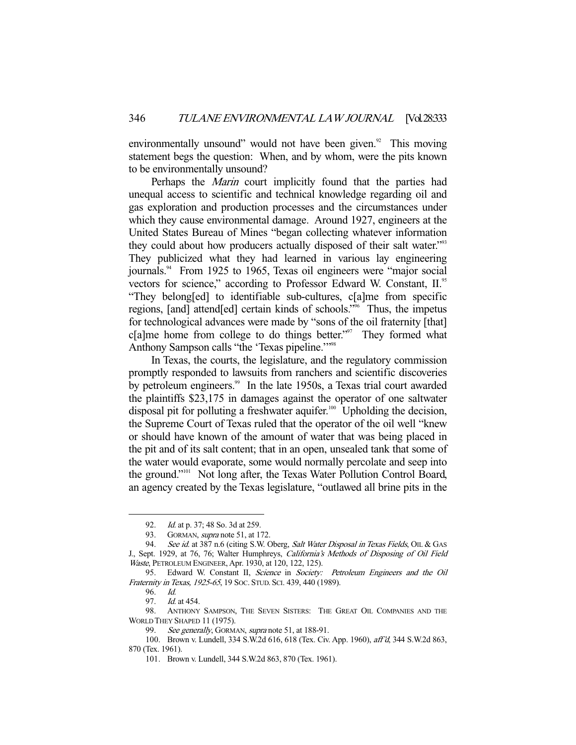environmentally unsound" would not have been given.<sup>92</sup> This moving statement begs the question: When, and by whom, were the pits known to be environmentally unsound?

Perhaps the *Marin* court implicitly found that the parties had unequal access to scientific and technical knowledge regarding oil and gas exploration and production processes and the circumstances under which they cause environmental damage. Around 1927, engineers at the United States Bureau of Mines "began collecting whatever information they could about how producers actually disposed of their salt water."<sup>93</sup> They publicized what they had learned in various lay engineering journals.<sup>94</sup> From 1925 to 1965, Texas oil engineers were "major social vectors for science," according to Professor Edward W. Constant, II.<sup>95</sup> "They belong[ed] to identifiable sub-cultures, c[a]me from specific regions, [and] attend[ed] certain kinds of schools."96 Thus, the impetus for technological advances were made by "sons of the oil fraternity [that] c[a]me home from college to do things better."<sup>97</sup> They formed what Anthony Sampson calls "the 'Texas pipeline."<sup>198</sup>

 In Texas, the courts, the legislature, and the regulatory commission promptly responded to lawsuits from ranchers and scientific discoveries by petroleum engineers.<sup>99</sup> In the late 1950s, a Texas trial court awarded the plaintiffs \$23,175 in damages against the operator of one saltwater disposal pit for polluting a freshwater aquifer.<sup>100</sup> Upholding the decision, the Supreme Court of Texas ruled that the operator of the oil well "knew or should have known of the amount of water that was being placed in the pit and of its salt content; that in an open, unsealed tank that some of the water would evaporate, some would normally percolate and seep into the ground."101 Not long after, the Texas Water Pollution Control Board, an agency created by the Texas legislature, "outlawed all brine pits in the

 <sup>92.</sup> Id. at p. 37; 48 So. 3d at 259.

<sup>93.</sup> GORMAN, *supra* note 51, at 172.

<sup>94.</sup> See id. at 387 n.6 (citing S.W. Oberg, Salt Water Disposal in Texas Fields, OIL & GAS J., Sept. 1929, at 76, 76; Walter Humphreys, California's Methods of Disposing of Oil Field Waste, PETROLEUM ENGINEER, Apr. 1930, at 120, 122, 125).

<sup>95.</sup> Edward W. Constant II, Science in Society: Petroleum Engineers and the Oil Fraternity in Texas, 1925-65, 19 SOC. STUD. SCI. 439, 440 (1989).

 <sup>96.</sup> Id.

 <sup>97.</sup> Id. at 454.

 <sup>98.</sup> ANTHONY SAMPSON, THE SEVEN SISTERS: THE GREAT OIL COMPANIES AND THE WORLD THEY SHAPED 11 (1975).

<sup>99.</sup> See generally, GORMAN, supra note 51, at 188-91.

 <sup>100.</sup> Brown v. Lundell, 334 S.W.2d 616, 618 (Tex. Civ. App. 1960), aff'd, 344 S.W.2d 863, 870 (Tex. 1961).

 <sup>101.</sup> Brown v. Lundell, 344 S.W.2d 863, 870 (Tex. 1961).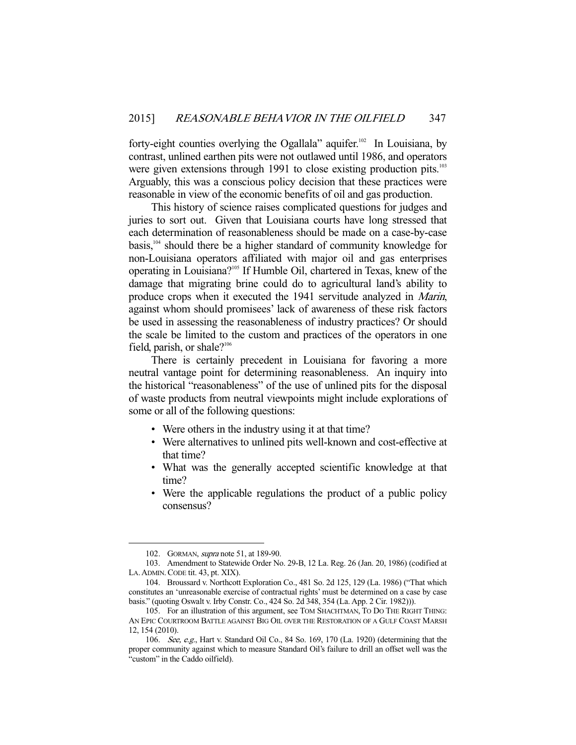forty-eight counties overlying the Ogallala" aquifer.<sup>102</sup> In Louisiana, by contrast, unlined earthen pits were not outlawed until 1986, and operators were given extensions through 1991 to close existing production pits.<sup>103</sup> Arguably, this was a conscious policy decision that these practices were reasonable in view of the economic benefits of oil and gas production.

 This history of science raises complicated questions for judges and juries to sort out. Given that Louisiana courts have long stressed that each determination of reasonableness should be made on a case-by-case basis,104 should there be a higher standard of community knowledge for non-Louisiana operators affiliated with major oil and gas enterprises operating in Louisiana?105 If Humble Oil, chartered in Texas, knew of the damage that migrating brine could do to agricultural land's ability to produce crops when it executed the 1941 servitude analyzed in Marin, against whom should promisees' lack of awareness of these risk factors be used in assessing the reasonableness of industry practices? Or should the scale be limited to the custom and practices of the operators in one field, parish, or shale? $106$ 

 There is certainly precedent in Louisiana for favoring a more neutral vantage point for determining reasonableness. An inquiry into the historical "reasonableness" of the use of unlined pits for the disposal of waste products from neutral viewpoints might include explorations of some or all of the following questions:

- Were others in the industry using it at that time?
- Were alternatives to unlined pits well-known and cost-effective at that time?
- What was the generally accepted scientific knowledge at that time?
- Were the applicable regulations the product of a public policy consensus?

 <sup>102.</sup> GORMAN, supra note 51, at 189-90.

 <sup>103.</sup> Amendment to Statewide Order No. 29-B, 12 La. Reg. 26 (Jan. 20, 1986) (codified at LA. ADMIN. CODE tit. 43, pt. XIX).

 <sup>104.</sup> Broussard v. Northcott Exploration Co., 481 So. 2d 125, 129 (La. 1986) ("That which constitutes an 'unreasonable exercise of contractual rights' must be determined on a case by case basis." (quoting Oswalt v. Irby Constr. Co., 424 So. 2d 348, 354 (La. App. 2 Cir. 1982))).

 <sup>105.</sup> For an illustration of this argument, see TOM SHACHTMAN, TO DO THE RIGHT THING: AN EPIC COURTROOM BATTLE AGAINST BIG OIL OVER THE RESTORATION OF A GULF COAST MARSH 12, 154 (2010).

 <sup>106.</sup> See, e.g., Hart v. Standard Oil Co., 84 So. 169, 170 (La. 1920) (determining that the proper community against which to measure Standard Oil's failure to drill an offset well was the "custom" in the Caddo oilfield).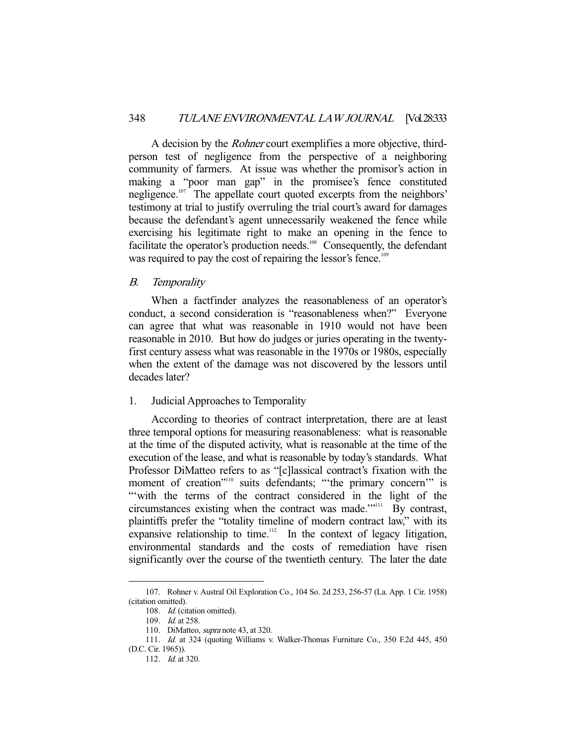A decision by the Rohner court exemplifies a more objective, thirdperson test of negligence from the perspective of a neighboring community of farmers. At issue was whether the promisor's action in making a "poor man gap" in the promisee's fence constituted negligence.<sup>107</sup> The appellate court quoted excerpts from the neighbors' testimony at trial to justify overruling the trial court's award for damages because the defendant's agent unnecessarily weakened the fence while exercising his legitimate right to make an opening in the fence to facilitate the operator's production needs.<sup>108</sup> Consequently, the defendant was required to pay the cost of repairing the lessor's fence.<sup>109</sup>

## B. Temporality

 When a factfinder analyzes the reasonableness of an operator's conduct, a second consideration is "reasonableness when?" Everyone can agree that what was reasonable in 1910 would not have been reasonable in 2010. But how do judges or juries operating in the twentyfirst century assess what was reasonable in the 1970s or 1980s, especially when the extent of the damage was not discovered by the lessors until decades later?

## 1. Judicial Approaches to Temporality

 According to theories of contract interpretation, there are at least three temporal options for measuring reasonableness: what is reasonable at the time of the disputed activity, what is reasonable at the time of the execution of the lease, and what is reasonable by today's standards. What Professor DiMatteo refers to as "[c]lassical contract's fixation with the moment of creation"<sup>110</sup> suits defendants; ""the primary concern" is "'with the terms of the contract considered in the light of the circumstances existing when the contract was made.'"<sup>111</sup> By contrast, plaintiffs prefer the "totality timeline of modern contract law," with its expansive relationship to time.<sup>112</sup> In the context of legacy litigation, environmental standards and the costs of remediation have risen significantly over the course of the twentieth century. The later the date

 <sup>107.</sup> Rohner v. Austral Oil Exploration Co., 104 So. 2d 253, 256-57 (La. App. 1 Cir. 1958) (citation omitted).

<sup>108.</sup> *Id.* (citation omitted).

 <sup>109.</sup> Id. at 258.

<sup>110.</sup> DiMatteo, *supra* note 43, at 320.

 <sup>111.</sup> Id. at 324 (quoting Williams v. Walker-Thomas Furniture Co., 350 F.2d 445, 450 (D.C. Cir. 1965)).

 <sup>112.</sup> Id. at 320.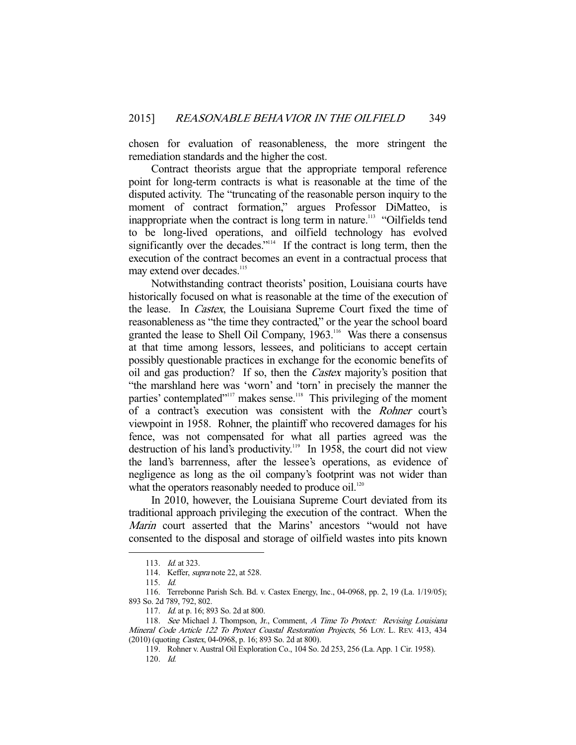chosen for evaluation of reasonableness, the more stringent the remediation standards and the higher the cost.

 Contract theorists argue that the appropriate temporal reference point for long-term contracts is what is reasonable at the time of the disputed activity. The "truncating of the reasonable person inquiry to the moment of contract formation," argues Professor DiMatteo, is inappropriate when the contract is long term in nature.<sup>113</sup> "Oilfields tend to be long-lived operations, and oilfield technology has evolved significantly over the decades."<sup>114</sup> If the contract is long term, then the execution of the contract becomes an event in a contractual process that may extend over decades.<sup>115</sup>

 Notwithstanding contract theorists' position, Louisiana courts have historically focused on what is reasonable at the time of the execution of the lease. In Castex, the Louisiana Supreme Court fixed the time of reasonableness as "the time they contracted," or the year the school board granted the lease to Shell Oil Company, 1963.<sup>116</sup> Was there a consensus at that time among lessors, lessees, and politicians to accept certain possibly questionable practices in exchange for the economic benefits of oil and gas production? If so, then the Castex majority's position that "the marshland here was 'worn' and 'torn' in precisely the manner the parties' contemplated"<sup>117</sup> makes sense.<sup>118</sup> This privileging of the moment of a contract's execution was consistent with the Rohner court's viewpoint in 1958. Rohner, the plaintiff who recovered damages for his fence, was not compensated for what all parties agreed was the destruction of his land's productivity.<sup>119</sup> In 1958, the court did not view the land's barrenness, after the lessee's operations, as evidence of negligence as long as the oil company's footprint was not wider than what the operators reasonably needed to produce  $\delta$ <sup>1.20</sup>

 In 2010, however, the Louisiana Supreme Court deviated from its traditional approach privileging the execution of the contract. When the Marin court asserted that the Marins' ancestors "would not have consented to the disposal and storage of oilfield wastes into pits known

<sup>113.</sup> *Id.* at 323.

 <sup>114.</sup> Keffer, supra note 22, at 528.

 <sup>115.</sup> Id.

 <sup>116.</sup> Terrebonne Parish Sch. Bd. v. Castex Energy, Inc., 04-0968, pp. 2, 19 (La. 1/19/05); 893 So. 2d 789, 792, 802.

 <sup>117.</sup> Id. at p. 16; 893 So. 2d at 800.

<sup>118.</sup> See Michael J. Thompson, Jr., Comment, A Time To Protect: Revising Louisiana Mineral Code Article 122 To Protect Coastal Restoration Projects, 56 LOY. L. REV. 413, 434 (2010) (quoting Castex, 04-0968, p. 16; 893 So. 2d at 800).

 <sup>119.</sup> Rohner v. Austral Oil Exploration Co., 104 So. 2d 253, 256 (La. App. 1 Cir. 1958). 120. Id.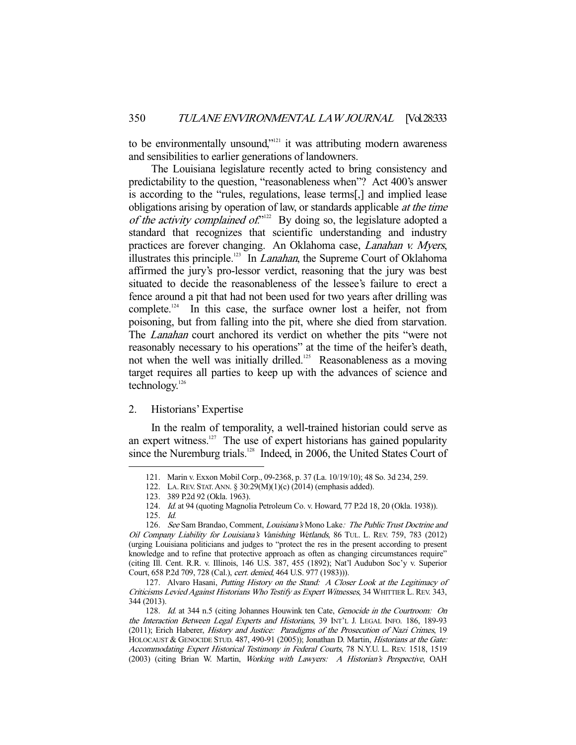to be environmentally unsound,"<sup>121</sup> it was attributing modern awareness and sensibilities to earlier generations of landowners.

 The Louisiana legislature recently acted to bring consistency and predictability to the question, "reasonableness when"? Act 400's answer is according to the "rules, regulations, lease terms[,] and implied lease obligations arising by operation of law, or standards applicable at the time of the activity complained of."<sup>122</sup> By doing so, the legislature adopted a standard that recognizes that scientific understanding and industry practices are forever changing. An Oklahoma case, Lanahan v. Myers, illustrates this principle.<sup>123</sup> In *Lanahan*, the Supreme Court of Oklahoma affirmed the jury's pro-lessor verdict, reasoning that the jury was best situated to decide the reasonableness of the lessee's failure to erect a fence around a pit that had not been used for two years after drilling was complete.<sup>124</sup> In this case, the surface owner lost a heifer, not from poisoning, but from falling into the pit, where she died from starvation. The *Lanahan* court anchored its verdict on whether the pits "were not reasonably necessary to his operations" at the time of the heifer's death, not when the well was initially drilled.<sup>125</sup> Reasonableness as a moving target requires all parties to keep up with the advances of science and technology.126

# 2. Historians' Expertise

 In the realm of temporality, a well-trained historian could serve as an expert witness.<sup>127</sup> The use of expert historians has gained popularity since the Nuremburg trials.<sup>128</sup> Indeed, in 2006, the United States Court of

 <sup>121.</sup> Marin v. Exxon Mobil Corp., 09-2368, p. 37 (La. 10/19/10); 48 So. 3d 234, 259.

 <sup>122.</sup> LA.REV. STAT.ANN. § 30:29(M)(1)(c) (2014) (emphasis added).

 <sup>123. 389</sup> P.2d 92 (Okla. 1963).

<sup>124.</sup> Id. at 94 (quoting Magnolia Petroleum Co. v. Howard, 77 P.2d 18, 20 (Okla. 1938)).

 <sup>125.</sup> Id.

<sup>126.</sup> See Sam Brandao, Comment, Louisiana's Mono Lake: The Public Trust Doctrine and Oil Company Liability for Louisiana's Vanishing Wetlands, 86 TUL. L. REV. 759, 783 (2012) (urging Louisiana politicians and judges to "protect the res in the present according to present knowledge and to refine that protective approach as often as changing circumstances require" (citing Ill. Cent. R.R. v. Illinois, 146 U.S. 387, 455 (1892); Nat'l Audubon Soc'y v. Superior Court, 658 P.2d 709, 728 (Cal.), cert. denied, 464 U.S. 977 (1983))).

 <sup>127.</sup> Alvaro Hasani, Putting History on the Stand: A Closer Look at the Legitimacy of Criticisms Levied Against Historians Who Testify as Expert Witnesses, 34 WHITTIER L. REV. 343, 344 (2013).

<sup>128.</sup> Id. at 344 n.5 (citing Johannes Houwink ten Cate, Genocide in the Courtroom: On the Interaction Between Legal Experts and Historians, 39 INT'L J. LEGAL INFO. 186, 189-93 (2011); Erich Haberer, History and Justice: Paradigms of the Prosecution of Nazi Crimes, 19 HOLOCAUST & GENOCIDE STUD. 487, 490-91 (2005)); Jonathan D. Martin, *Historians at the Gate:* Accommodating Expert Historical Testimony in Federal Courts, 78 N.Y.U. L. REV. 1518, 1519 (2003) (citing Brian W. Martin, Working with Lawyers: A Historian's Perspective, OAH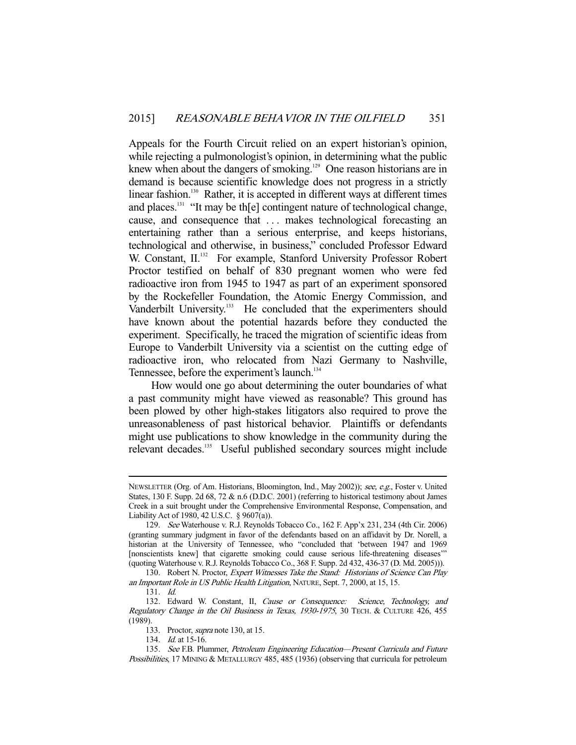Appeals for the Fourth Circuit relied on an expert historian's opinion, while rejecting a pulmonologist's opinion, in determining what the public knew when about the dangers of smoking.<sup>129</sup> One reason historians are in demand is because scientific knowledge does not progress in a strictly linear fashion.<sup>130</sup> Rather, it is accepted in different ways at different times and places.<sup>131</sup> "It may be the l contingent nature of technological change, cause, and consequence that ... makes technological forecasting an entertaining rather than a serious enterprise, and keeps historians, technological and otherwise, in business," concluded Professor Edward W. Constant, II.<sup>132</sup> For example, Stanford University Professor Robert Proctor testified on behalf of 830 pregnant women who were fed radioactive iron from 1945 to 1947 as part of an experiment sponsored by the Rockefeller Foundation, the Atomic Energy Commission, and Vanderbilt University.<sup>133</sup> He concluded that the experimenters should have known about the potential hazards before they conducted the experiment. Specifically, he traced the migration of scientific ideas from Europe to Vanderbilt University via a scientist on the cutting edge of radioactive iron, who relocated from Nazi Germany to Nashville, Tennessee, before the experiment's launch.<sup>134</sup>

 How would one go about determining the outer boundaries of what a past community might have viewed as reasonable? This ground has been plowed by other high-stakes litigators also required to prove the unreasonableness of past historical behavior. Plaintiffs or defendants might use publications to show knowledge in the community during the relevant decades.<sup>135</sup> Useful published secondary sources might include

NEWSLETTER (Org. of Am. Historians, Bloomington, Ind., May 2002)); see, e.g., Foster v. United States, 130 F. Supp. 2d 68, 72 & n.6 (D.D.C. 2001) (referring to historical testimony about James Creek in a suit brought under the Comprehensive Environmental Response, Compensation, and Liability Act of 1980, 42 U.S.C. § 9607(a)).

 <sup>129.</sup> See Waterhouse v. R.J. Reynolds Tobacco Co., 162 F. App'x 231, 234 (4th Cir. 2006) (granting summary judgment in favor of the defendants based on an affidavit by Dr. Norell, a historian at the University of Tennessee, who "concluded that 'between 1947 and 1969 [nonscientists knew] that cigarette smoking could cause serious life-threatening diseases" (quoting Waterhouse v. R.J. Reynolds Tobacco Co., 368 F. Supp. 2d 432, 436-37 (D. Md. 2005))).

<sup>130.</sup> Robert N. Proctor, Expert Witnesses Take the Stand: Historians of Science Can Play an Important Role in US Public Health Litigation, NATURE, Sept. 7, 2000, at 15, 15.

 <sup>131.</sup> Id.

<sup>132.</sup> Edward W. Constant, II, Cause or Consequence: Science, Technology, and Regulatory Change in the Oil Business in Texas, 1930-1975, 30 TECH. & CULTURE 426, 455 (1989).

<sup>133.</sup> Proctor, *supra* note 130, at 15.

 <sup>134.</sup> Id. at 15-16.

 <sup>135.</sup> See F.B. Plummer, Petroleum Engineering Education—Present Curricula and Future Possibilities, 17 MINING & METALLURGY 485, 485 (1936) (observing that curricula for petroleum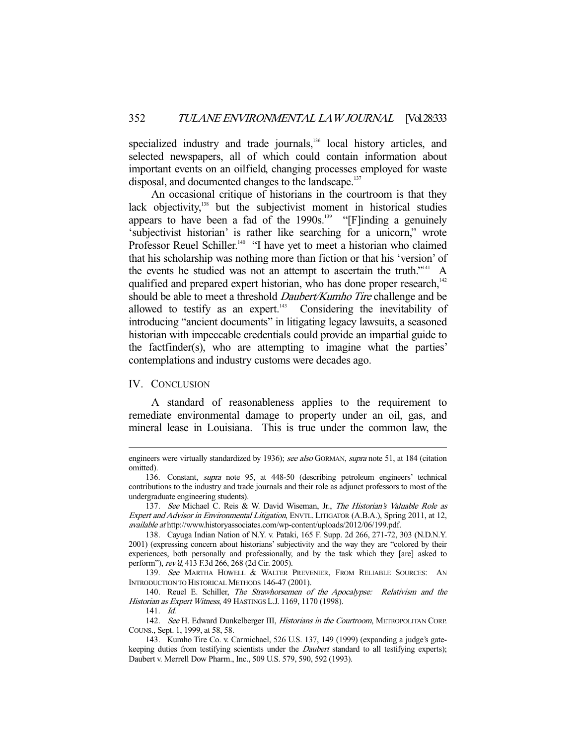specialized industry and trade journals,<sup>136</sup> local history articles, and selected newspapers, all of which could contain information about important events on an oilfield, changing processes employed for waste disposal, and documented changes to the landscape.<sup>137</sup>

 An occasional critique of historians in the courtroom is that they lack objectivity,<sup>138</sup> but the subjectivist moment in historical studies appears to have been a fad of the  $1990s$ <sup>139</sup> "[F]inding a genuinely 'subjectivist historian' is rather like searching for a unicorn," wrote Professor Reuel Schiller.<sup>140</sup> "I have yet to meet a historian who claimed that his scholarship was nothing more than fiction or that his 'version' of the events he studied was not an attempt to ascertain the truth."<sup>141</sup> A qualified and prepared expert historian, who has done proper research.<sup>142</sup> should be able to meet a threshold *Daubert/Kumho Tire* challenge and be allowed to testify as an expert. $\frac{143}{12}$  Considering the inevitability of introducing "ancient documents" in litigating legacy lawsuits, a seasoned historian with impeccable credentials could provide an impartial guide to the factfinder(s), who are attempting to imagine what the parties' contemplations and industry customs were decades ago.

#### IV. CONCLUSION

-

 A standard of reasonableness applies to the requirement to remediate environmental damage to property under an oil, gas, and mineral lease in Louisiana. This is true under the common law, the

engineers were virtually standardized by 1936); see also GORMAN, supra note 51, at 184 (citation omitted).

 <sup>136.</sup> Constant, supra note 95, at 448-50 (describing petroleum engineers' technical contributions to the industry and trade journals and their role as adjunct professors to most of the undergraduate engineering students).

<sup>137.</sup> See Michael C. Reis & W. David Wiseman, Jr., The Historian's Valuable Role as Expert and Advisor in Environmental Litigation, ENVTL. LITIGATOR (A.B.A.), Spring 2011, at 12, available at http://www.historyassociates.com/wp-content/uploads/2012/06/199.pdf.

 <sup>138.</sup> Cayuga Indian Nation of N.Y. v. Pataki, 165 F. Supp. 2d 266, 271-72, 303 (N.D.N.Y. 2001) (expressing concern about historians' subjectivity and the way they are "colored by their experiences, both personally and professionally, and by the task which they [are] asked to perform"), rev'd, 413 F.3d 266, 268 (2d Cir. 2005).

<sup>139.</sup> See MARTHA HOWELL & WALTER PREVENIER, FROM RELIABLE SOURCES: AN INTRODUCTION TO HISTORICAL METHODS 146-47 (2001).

 <sup>140.</sup> Reuel E. Schiller, The Strawhorsemen of the Apocalypse: Relativism and the Historian as Expert Witness, 49 HASTINGS L.J. 1169, 1170 (1998).

 <sup>141.</sup> Id.

<sup>142.</sup> See H. Edward Dunkelberger III, Historians in the Courtroom, METROPOLITAN CORP. COUNS., Sept. 1, 1999, at 58, 58.

 <sup>143.</sup> Kumho Tire Co. v. Carmichael, 526 U.S. 137, 149 (1999) (expanding a judge's gatekeeping duties from testifying scientists under the *Daubert* standard to all testifying experts); Daubert v. Merrell Dow Pharm., Inc., 509 U.S. 579, 590, 592 (1993).